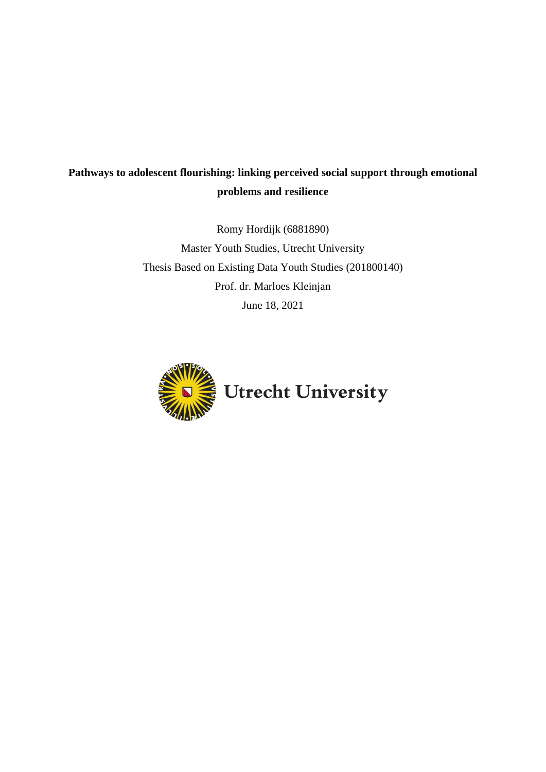# **Pathways to adolescent flourishing: linking perceived social support through emotional problems and resilience**

Romy Hordijk (6881890) Master Youth Studies, Utrecht University Thesis Based on Existing Data Youth Studies (201800140) Prof. dr. Marloes Kleinjan June 18, 2021

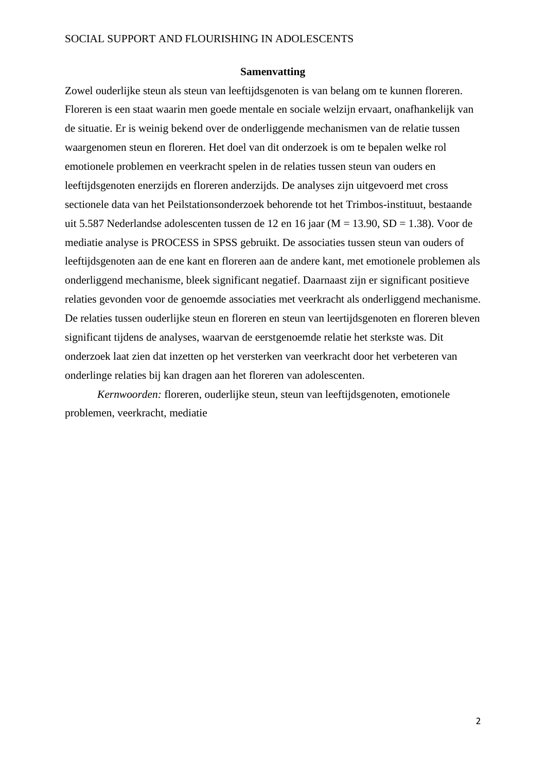### **Samenvatting**

Zowel ouderlijke steun als steun van leeftijdsgenoten is van belang om te kunnen floreren. Floreren is een staat waarin men goede mentale en sociale welzijn ervaart, onafhankelijk van de situatie. Er is weinig bekend over de onderliggende mechanismen van de relatie tussen waargenomen steun en floreren. Het doel van dit onderzoek is om te bepalen welke rol emotionele problemen en veerkracht spelen in de relaties tussen steun van ouders en leeftijdsgenoten enerzijds en floreren anderzijds. De analyses zijn uitgevoerd met cross sectionele data van het Peilstationsonderzoek behorende tot het Trimbos-instituut, bestaande uit 5.587 Nederlandse adolescenten tussen de 12 en 16 jaar (M = 13.90, SD = 1.38). Voor de mediatie analyse is PROCESS in SPSS gebruikt. De associaties tussen steun van ouders of leeftijdsgenoten aan de ene kant en floreren aan de andere kant, met emotionele problemen als onderliggend mechanisme, bleek significant negatief. Daarnaast zijn er significant positieve relaties gevonden voor de genoemde associaties met veerkracht als onderliggend mechanisme. De relaties tussen ouderlijke steun en floreren en steun van leertijdsgenoten en floreren bleven significant tijdens de analyses, waarvan de eerstgenoemde relatie het sterkste was. Dit onderzoek laat zien dat inzetten op het versterken van veerkracht door het verbeteren van onderlinge relaties bij kan dragen aan het floreren van adolescenten.

*Kernwoorden:* floreren, ouderlijke steun, steun van leeftijdsgenoten, emotionele problemen, veerkracht, mediatie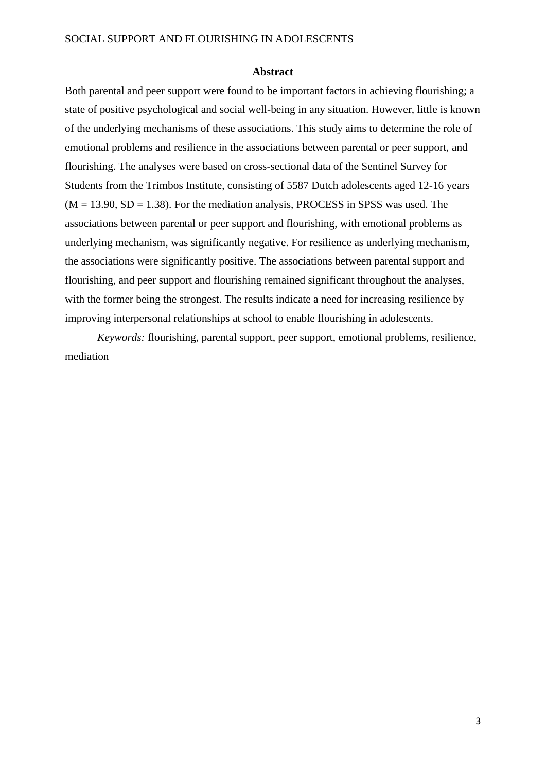#### **Abstract**

Both parental and peer support were found to be important factors in achieving flourishing; a state of positive psychological and social well-being in any situation. However, little is known of the underlying mechanisms of these associations. This study aims to determine the role of emotional problems and resilience in the associations between parental or peer support, and flourishing. The analyses were based on cross-sectional data of the Sentinel Survey for Students from the Trimbos Institute, consisting of 5587 Dutch adolescents aged 12-16 years  $(M = 13.90, SD = 1.38)$ . For the mediation analysis, PROCESS in SPSS was used. The associations between parental or peer support and flourishing, with emotional problems as underlying mechanism, was significantly negative. For resilience as underlying mechanism, the associations were significantly positive. The associations between parental support and flourishing, and peer support and flourishing remained significant throughout the analyses, with the former being the strongest. The results indicate a need for increasing resilience by improving interpersonal relationships at school to enable flourishing in adolescents.

*Keywords:* flourishing, parental support, peer support, emotional problems, resilience, mediation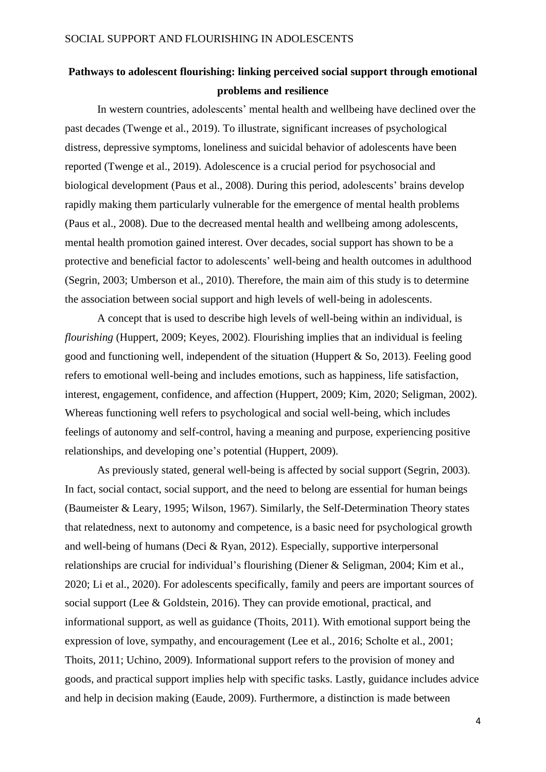# **Pathways to adolescent flourishing: linking perceived social support through emotional problems and resilience**

In western countries, adolescents' mental health and wellbeing have declined over the past decades (Twenge et al., 2019). To illustrate, significant increases of psychological distress, depressive symptoms, loneliness and suicidal behavior of adolescents have been reported (Twenge et al., 2019). Adolescence is a crucial period for psychosocial and biological development (Paus et al., 2008). During this period, adolescents' brains develop rapidly making them particularly vulnerable for the emergence of mental health problems (Paus et al., 2008). Due to the decreased mental health and wellbeing among adolescents, mental health promotion gained interest. Over decades, social support has shown to be a protective and beneficial factor to adolescents' well-being and health outcomes in adulthood (Segrin, 2003; Umberson et al., 2010). Therefore, the main aim of this study is to determine the association between social support and high levels of well-being in adolescents.

A concept that is used to describe high levels of well-being within an individual, is *flourishing* (Huppert, 2009; Keyes, 2002). Flourishing implies that an individual is feeling good and functioning well, independent of the situation (Huppert & So, 2013). Feeling good refers to emotional well-being and includes emotions, such as happiness, life satisfaction, interest, engagement, confidence, and affection (Huppert, 2009; Kim, 2020; Seligman, 2002). Whereas functioning well refers to psychological and social well-being, which includes feelings of autonomy and self-control, having a meaning and purpose, experiencing positive relationships, and developing one's potential (Huppert, 2009).

As previously stated, general well-being is affected by social support (Segrin, 2003). In fact, social contact, social support, and the need to belong are essential for human beings (Baumeister & Leary, 1995; Wilson, 1967). Similarly, the Self-Determination Theory states that relatedness, next to autonomy and competence, is a basic need for psychological growth and well-being of humans (Deci & Ryan, 2012). Especially, supportive interpersonal relationships are crucial for individual's flourishing (Diener & Seligman, 2004; Kim et al., 2020; Li et al., 2020). For adolescents specifically, family and peers are important sources of social support (Lee & Goldstein, 2016). They can provide emotional, practical, and informational support, as well as guidance (Thoits, 2011). With emotional support being the expression of love, sympathy, and encouragement (Lee et al., 2016; Scholte et al., 2001; Thoits, 2011; Uchino, 2009). Informational support refers to the provision of money and goods, and practical support implies help with specific tasks. Lastly, guidance includes advice and help in decision making (Eaude, 2009). Furthermore, a distinction is made between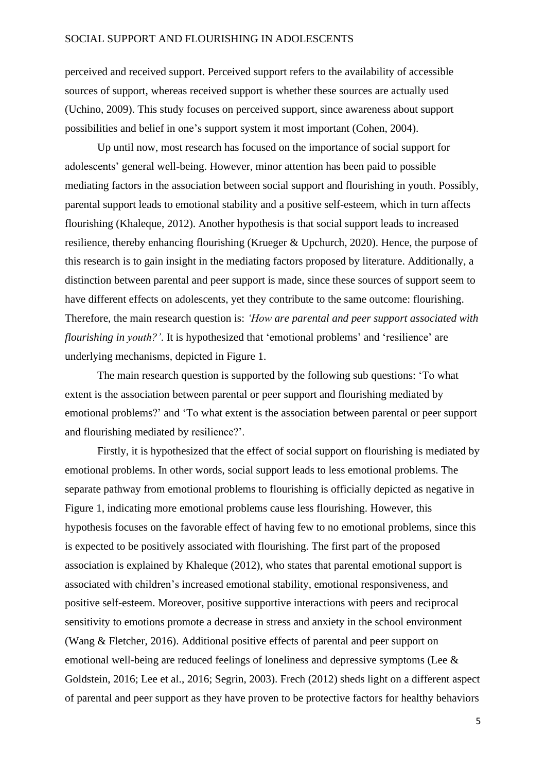perceived and received support. Perceived support refers to the availability of accessible sources of support, whereas received support is whether these sources are actually used (Uchino, 2009). This study focuses on perceived support, since awareness about support possibilities and belief in one's support system it most important (Cohen, 2004).

Up until now, most research has focused on the importance of social support for adolescents' general well-being. However, minor attention has been paid to possible mediating factors in the association between social support and flourishing in youth. Possibly, parental support leads to emotional stability and a positive self-esteem, which in turn affects flourishing (Khaleque, 2012). Another hypothesis is that social support leads to increased resilience, thereby enhancing flourishing (Krueger & Upchurch, 2020). Hence, the purpose of this research is to gain insight in the mediating factors proposed by literature. Additionally, a distinction between parental and peer support is made, since these sources of support seem to have different effects on adolescents, yet they contribute to the same outcome: flourishing. Therefore, the main research question is: *'How are parental and peer support associated with flourishing in youth?'*. It is hypothesized that 'emotional problems' and 'resilience' are underlying mechanisms, depicted in Figure 1.

The main research question is supported by the following sub questions: 'To what extent is the association between parental or peer support and flourishing mediated by emotional problems?' and 'To what extent is the association between parental or peer support and flourishing mediated by resilience?'.

Firstly, it is hypothesized that the effect of social support on flourishing is mediated by emotional problems. In other words, social support leads to less emotional problems. The separate pathway from emotional problems to flourishing is officially depicted as negative in Figure 1, indicating more emotional problems cause less flourishing. However, this hypothesis focuses on the favorable effect of having few to no emotional problems, since this is expected to be positively associated with flourishing. The first part of the proposed association is explained by Khaleque (2012), who states that parental emotional support is associated with children's increased emotional stability, emotional responsiveness, and positive self-esteem. Moreover, positive supportive interactions with peers and reciprocal sensitivity to emotions promote a decrease in stress and anxiety in the school environment (Wang & Fletcher, 2016). Additional positive effects of parental and peer support on emotional well-being are reduced feelings of loneliness and depressive symptoms (Lee & Goldstein, 2016; Lee et al., 2016; Segrin, 2003). Frech (2012) sheds light on a different aspect of parental and peer support as they have proven to be protective factors for healthy behaviors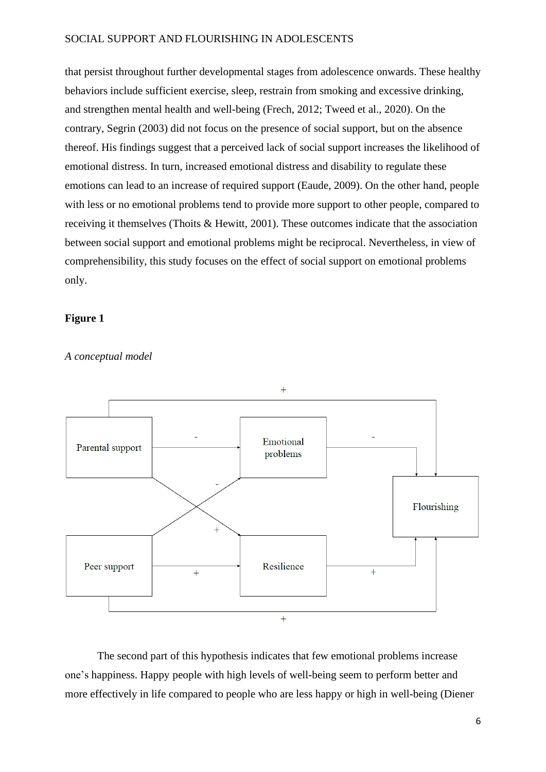that persist throughout further developmental stages from adolescence onwards. These healthy behaviors include sufficient exercise, sleep, restrain from smoking and excessive drinking, and strengthen mental health and well-being (Frech, 2012; Tweed et al., 2020). On the contrary, Segrin (2003) did not focus on the presence of social support, but on the absence thereof. His findings suggest that a perceived lack of social support increases the likelihood of emotional distress. In turn, increased emotional distress and disability to regulate these emotions can lead to an increase of required support (Eaude, 2009). On the other hand, people with less or no emotional problems tend to provide more support to other people, compared to receiving it themselves (Thoits & Hewitt, 2001). These outcomes indicate that the association between social support and emotional problems might be reciprocal. Nevertheless, in view of comprehensibility, this study focuses on the effect of social support on emotional problems only.

# **Figure 1**



*A conceptual model*

The second part of this hypothesis indicates that few emotional problems increase one's happiness. Happy people with high levels of well-being seem to perform better and more effectively in life compared to people who are less happy or high in well-being (Diener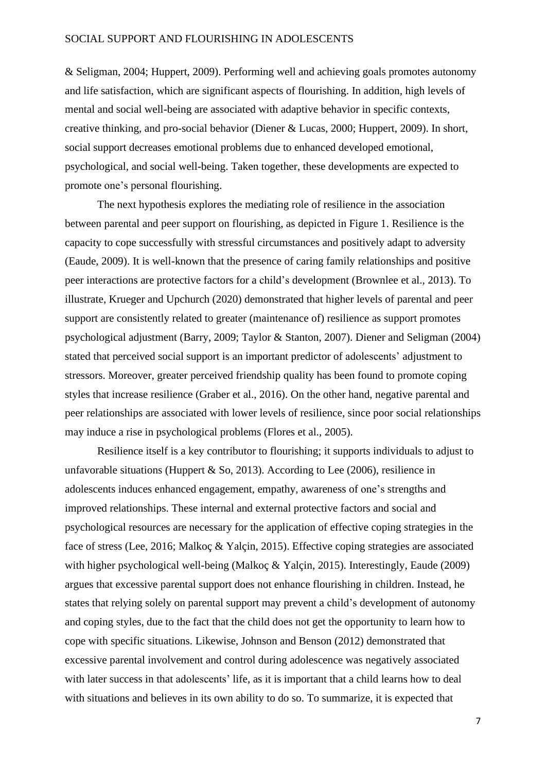& Seligman, 2004; Huppert, 2009). Performing well and achieving goals promotes autonomy and life satisfaction, which are significant aspects of flourishing. In addition, high levels of mental and social well-being are associated with adaptive behavior in specific contexts, creative thinking, and pro-social behavior (Diener & Lucas, 2000; Huppert, 2009). In short, social support decreases emotional problems due to enhanced developed emotional, psychological, and social well-being. Taken together, these developments are expected to promote one's personal flourishing.

The next hypothesis explores the mediating role of resilience in the association between parental and peer support on flourishing, as depicted in Figure 1. Resilience is the capacity to cope successfully with stressful circumstances and positively adapt to adversity (Eaude, 2009). It is well-known that the presence of caring family relationships and positive peer interactions are protective factors for a child's development (Brownlee et al., 2013). To illustrate, Krueger and Upchurch (2020) demonstrated that higher levels of parental and peer support are consistently related to greater (maintenance of) resilience as support promotes psychological adjustment (Barry, 2009; Taylor & Stanton, 2007). Diener and Seligman (2004) stated that perceived social support is an important predictor of adolescents' adjustment to stressors. Moreover, greater perceived friendship quality has been found to promote coping styles that increase resilience (Graber et al., 2016). On the other hand, negative parental and peer relationships are associated with lower levels of resilience, since poor social relationships may induce a rise in psychological problems (Flores et al., 2005).

Resilience itself is a key contributor to flourishing; it supports individuals to adjust to unfavorable situations (Huppert & So, 2013). According to Lee (2006), resilience in adolescents induces enhanced engagement, empathy, awareness of one's strengths and improved relationships. These internal and external protective factors and social and psychological resources are necessary for the application of effective coping strategies in the face of stress (Lee, 2016; Malkoç & Yalçin, 2015). Effective coping strategies are associated with higher psychological well-being (Malkoç & Yalçin, 2015). Interestingly, Eaude (2009) argues that excessive parental support does not enhance flourishing in children. Instead, he states that relying solely on parental support may prevent a child's development of autonomy and coping styles, due to the fact that the child does not get the opportunity to learn how to cope with specific situations. Likewise, Johnson and Benson (2012) demonstrated that excessive parental involvement and control during adolescence was negatively associated with later success in that adolescents' life, as it is important that a child learns how to deal with situations and believes in its own ability to do so. To summarize, it is expected that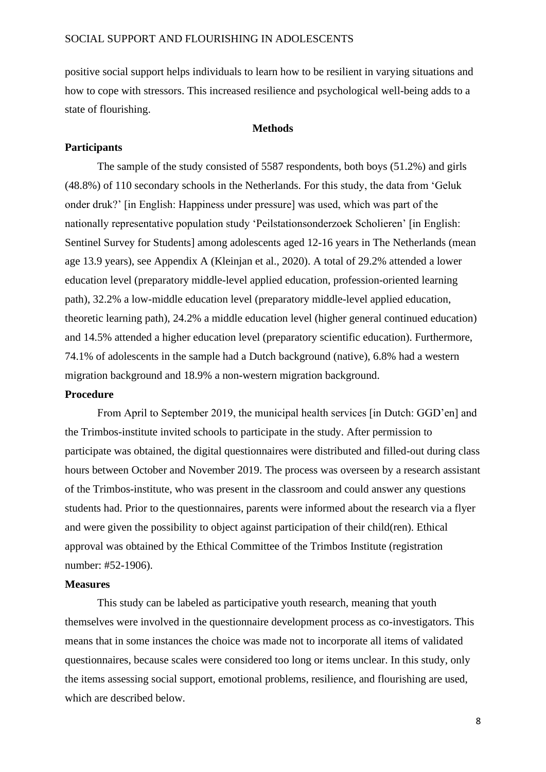positive social support helps individuals to learn how to be resilient in varying situations and how to cope with stressors. This increased resilience and psychological well-being adds to a state of flourishing.

### **Methods**

# **Participants**

The sample of the study consisted of 5587 respondents, both boys (51.2%) and girls (48.8%) of 110 secondary schools in the Netherlands. For this study, the data from 'Geluk onder druk?' [in English: Happiness under pressure] was used, which was part of the nationally representative population study 'Peilstationsonderzoek Scholieren' [in English: Sentinel Survey for Students] among adolescents aged 12-16 years in The Netherlands (mean age 13.9 years), see Appendix A (Kleinjan et al., 2020). A total of 29.2% attended a lower education level (preparatory middle-level applied education, profession-oriented learning path), 32.2% a low-middle education level (preparatory middle-level applied education, theoretic learning path), 24.2% a middle education level (higher general continued education) and 14.5% attended a higher education level (preparatory scientific education). Furthermore, 74.1% of adolescents in the sample had a Dutch background (native), 6.8% had a western migration background and 18.9% a non-western migration background.

#### **Procedure**

From April to September 2019, the municipal health services [in Dutch: GGD'en] and the Trimbos-institute invited schools to participate in the study. After permission to participate was obtained, the digital questionnaires were distributed and filled-out during class hours between October and November 2019. The process was overseen by a research assistant of the Trimbos-institute, who was present in the classroom and could answer any questions students had. Prior to the questionnaires, parents were informed about the research via a flyer and were given the possibility to object against participation of their child(ren). Ethical approval was obtained by the Ethical Committee of the Trimbos Institute (registration number: #52-1906).

### **Measures**

This study can be labeled as participative youth research, meaning that youth themselves were involved in the questionnaire development process as co-investigators. This means that in some instances the choice was made not to incorporate all items of validated questionnaires, because scales were considered too long or items unclear. In this study, only the items assessing social support, emotional problems, resilience, and flourishing are used, which are described below.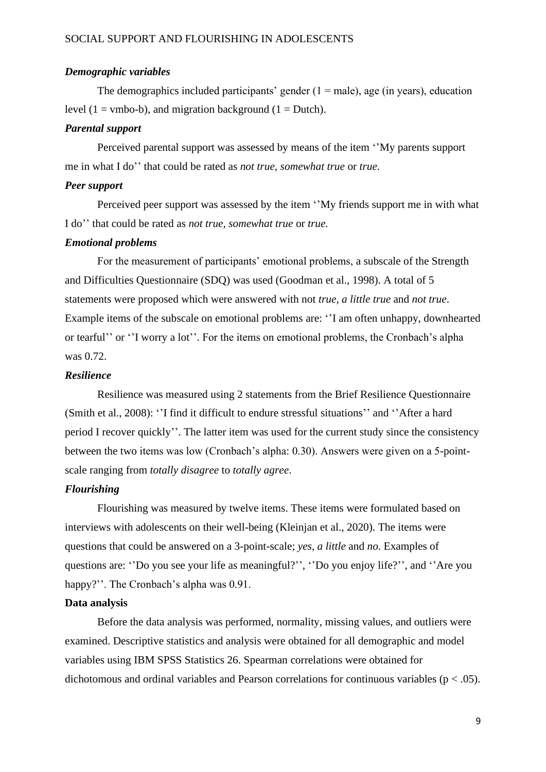### *Demographic variables*

The demographics included participants' gender  $(1 = male)$ , age (in years), education level (1 = vmbo-b), and migration background (1 = Dutch).

### *Parental support*

Perceived parental support was assessed by means of the item ''My parents support me in what I do'' that could be rated as *not true, somewhat true* or *true.*

### *Peer support*

Perceived peer support was assessed by the item ''My friends support me in with what I do'' that could be rated as *not true, somewhat true* or *true.*

### *Emotional problems*

For the measurement of participants' emotional problems, a subscale of the Strength and Difficulties Questionnaire (SDQ) was used (Goodman et al., 1998). A total of 5 statements were proposed which were answered with not *true, a little true* and *not true*. Example items of the subscale on emotional problems are: ''I am often unhappy, downhearted or tearful'' or ''I worry a lot''. For the items on emotional problems, the Cronbach's alpha was 0.72.

### *Resilience*

Resilience was measured using 2 statements from the Brief Resilience Questionnaire (Smith et al., 2008): ''I find it difficult to endure stressful situations'' and ''After a hard period I recover quickly''. The latter item was used for the current study since the consistency between the two items was low (Cronbach's alpha: 0.30). Answers were given on a 5-pointscale ranging from *totally disagree* to *totally agree*.

### *Flourishing*

Flourishing was measured by twelve items. These items were formulated based on interviews with adolescents on their well-being (Kleinjan et al., 2020). The items were questions that could be answered on a 3-point-scale; *yes, a little* and *no*. Examples of questions are: ''Do you see your life as meaningful?'', ''Do you enjoy life?'', and ''Are you happy?". The Cronbach's alpha was 0.91.

## **Data analysis**

Before the data analysis was performed, normality, missing values, and outliers were examined. Descriptive statistics and analysis were obtained for all demographic and model variables using IBM SPSS Statistics 26. Spearman correlations were obtained for dichotomous and ordinal variables and Pearson correlations for continuous variables ( $p < .05$ ).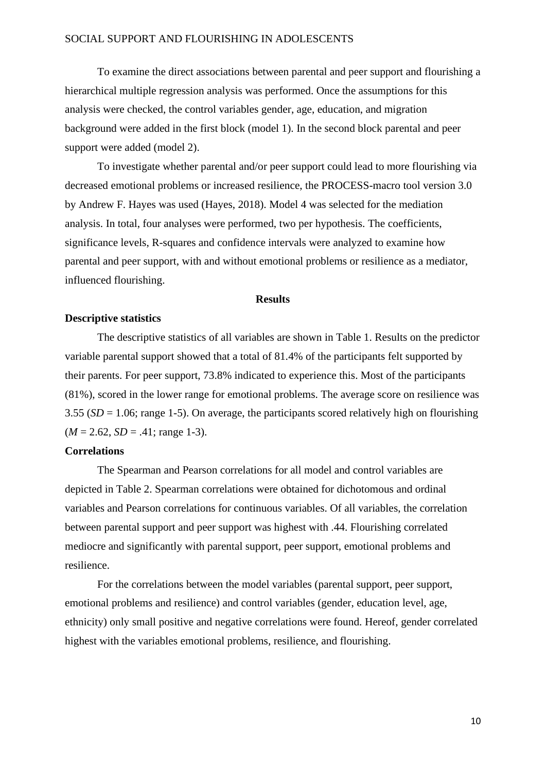To examine the direct associations between parental and peer support and flourishing a hierarchical multiple regression analysis was performed. Once the assumptions for this analysis were checked, the control variables gender, age, education, and migration background were added in the first block (model 1). In the second block parental and peer support were added (model 2).

To investigate whether parental and/or peer support could lead to more flourishing via decreased emotional problems or increased resilience, the PROCESS-macro tool version 3.0 by Andrew F. Hayes was used (Hayes, 2018). Model 4 was selected for the mediation analysis. In total, four analyses were performed, two per hypothesis. The coefficients, significance levels, R-squares and confidence intervals were analyzed to examine how parental and peer support, with and without emotional problems or resilience as a mediator, influenced flourishing.

## **Results**

# **Descriptive statistics**

The descriptive statistics of all variables are shown in Table 1. Results on the predictor variable parental support showed that a total of 81.4% of the participants felt supported by their parents. For peer support, 73.8% indicated to experience this. Most of the participants (81%), scored in the lower range for emotional problems. The average score on resilience was 3.55 (*SD* = 1.06; range 1-5). On average, the participants scored relatively high on flourishing  $(M = 2.62, SD = .41; range 1-3).$ 

## **Correlations**

The Spearman and Pearson correlations for all model and control variables are depicted in Table 2. Spearman correlations were obtained for dichotomous and ordinal variables and Pearson correlations for continuous variables. Of all variables, the correlation between parental support and peer support was highest with .44. Flourishing correlated mediocre and significantly with parental support, peer support, emotional problems and resilience.

For the correlations between the model variables (parental support, peer support, emotional problems and resilience) and control variables (gender, education level, age, ethnicity) only small positive and negative correlations were found. Hereof, gender correlated highest with the variables emotional problems, resilience, and flourishing.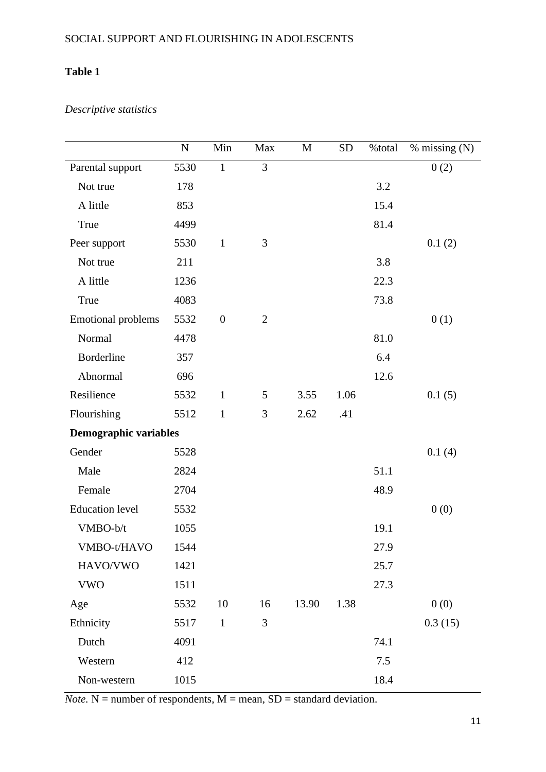# **Table 1**

# *Descriptive statistics*

|                              | $\mathbf N$ | Min              | Max            | M     | <b>SD</b> | %total | $%$ missing $(N)$ |
|------------------------------|-------------|------------------|----------------|-------|-----------|--------|-------------------|
| Parental support             | 5530        | $\mathbf{1}$     | 3              |       |           |        | 0(2)              |
| Not true                     | 178         |                  |                |       |           | 3.2    |                   |
| A little                     | 853         |                  |                |       |           | 15.4   |                   |
| True                         | 4499        |                  |                |       |           | 81.4   |                   |
| Peer support                 | 5530        | $\mathbf 1$      | 3              |       |           |        | 0.1(2)            |
| Not true                     | 211         |                  |                |       |           | 3.8    |                   |
| A little                     | 1236        |                  |                |       |           | 22.3   |                   |
| True                         | 4083        |                  |                |       |           | 73.8   |                   |
| <b>Emotional problems</b>    | 5532        | $\boldsymbol{0}$ | $\overline{2}$ |       |           |        | 0(1)              |
| Normal                       | 4478        |                  |                |       |           | 81.0   |                   |
| Borderline                   | 357         |                  |                |       |           | 6.4    |                   |
| Abnormal                     | 696         |                  |                |       |           | 12.6   |                   |
| Resilience                   | 5532        | $\mathbf{1}$     | 5              | 3.55  | 1.06      |        | 0.1(5)            |
| Flourishing                  | 5512        | $\mathbf{1}$     | 3              | 2.62  | .41       |        |                   |
| <b>Demographic variables</b> |             |                  |                |       |           |        |                   |
| Gender                       | 5528        |                  |                |       |           |        | 0.1(4)            |
| Male                         | 2824        |                  |                |       |           | 51.1   |                   |
| Female                       | 2704        |                  |                |       |           | 48.9   |                   |
| <b>Education</b> level       | 5532        |                  |                |       |           |        | 0(0)              |
| VMBO-b/t                     | 1055        |                  |                |       |           | 19.1   |                   |
| VMBO-t/HAVO                  | 1544        |                  |                |       |           | 27.9   |                   |
| HAVO/VWO                     | 1421        |                  |                |       |           | 25.7   |                   |
| <b>VWO</b>                   | 1511        |                  |                |       |           | 27.3   |                   |
| Age                          | 5532        | 10               | 16             | 13.90 | 1.38      |        | 0(0)              |
| Ethnicity                    | 5517        | $\mathbf 1$      | 3              |       |           |        | 0.3(15)           |
| Dutch                        | 4091        |                  |                |       |           | 74.1   |                   |
| Western                      | 412         |                  |                |       |           | 7.5    |                   |
| Non-western                  | 1015        |                  |                |       |           | 18.4   |                   |

 $$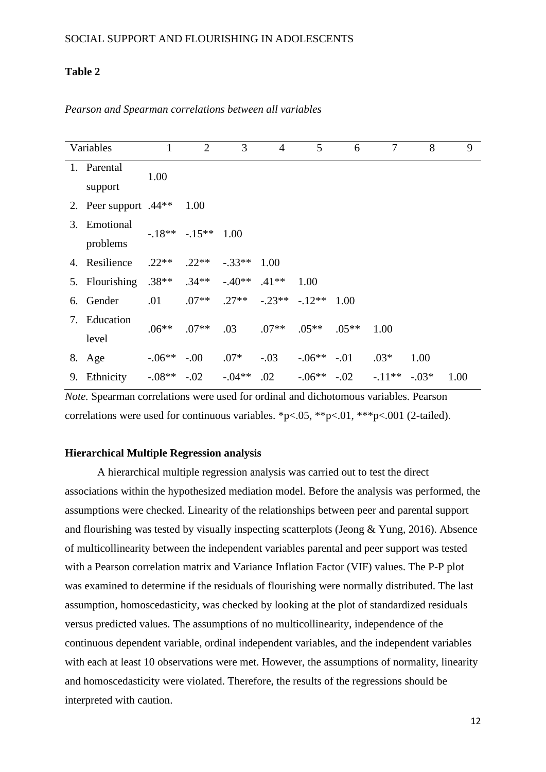# **Table 2**

| Variables                    | $\mathbf{1}$ | $\overline{2}$ | 3                         | $\overline{4}$ | 5            | 6                | $\tau$   | 8       | 9    |
|------------------------------|--------------|----------------|---------------------------|----------------|--------------|------------------|----------|---------|------|
| 1. Parental<br>support       | 1.00         |                |                           |                |              |                  |          |         |      |
| 2. Peer support $.44**$ 1.00 |              |                |                           |                |              |                  |          |         |      |
| 3. Emotional<br>problems     |              | $-18** -15**$  | 1.00                      |                |              |                  |          |         |      |
| 4. Resilience                | $.22**$      | $.22**$        | $-.33**$                  | 1.00           |              |                  |          |         |      |
| 5. Flourishing               | $.38**$      | $.34**$        | $-40**$ .41**             |                | 1.00         |                  |          |         |      |
| 6. Gender                    | .01          | $.07**$        | $.27**$ $-.23**$ $-.12**$ |                |              | 1.00             |          |         |      |
| 7. Education<br>level        | $.06**$      | $.07**$        | .03                       | $.07**$        | $.05**$      | $.05***$         | 1.00     |         |      |
| 8. Age                       | $-.06**-.00$ |                | $.07*$                    | $-.03$         | $-.06**-.01$ |                  | $.03*$   | 1.00    |      |
| 9. Ethnicity                 | $-.08**-.02$ |                | $-.04**$                  | .02            |              | $-.06***$ $-.02$ | $-.11**$ | $-.03*$ | 1.00 |

*Pearson and Spearman correlations between all variables* 

*Note.* Spearman correlations were used for ordinal and dichotomous variables. Pearson correlations were used for continuous variables. \*p<.05, \*\*p<.01, \*\*\*p<.001 (2-tailed).

### **Hierarchical Multiple Regression analysis**

A hierarchical multiple regression analysis was carried out to test the direct associations within the hypothesized mediation model. Before the analysis was performed, the assumptions were checked. Linearity of the relationships between peer and parental support and flourishing was tested by visually inspecting scatterplots (Jeong & Yung, 2016). Absence of multicollinearity between the independent variables parental and peer support was tested with a Pearson correlation matrix and Variance Inflation Factor (VIF) values. The P-P plot was examined to determine if the residuals of flourishing were normally distributed. The last assumption, homoscedasticity, was checked by looking at the plot of standardized residuals versus predicted values. The assumptions of no multicollinearity, independence of the continuous dependent variable, ordinal independent variables, and the independent variables with each at least 10 observations were met. However, the assumptions of normality, linearity and homoscedasticity were violated. Therefore, the results of the regressions should be interpreted with caution.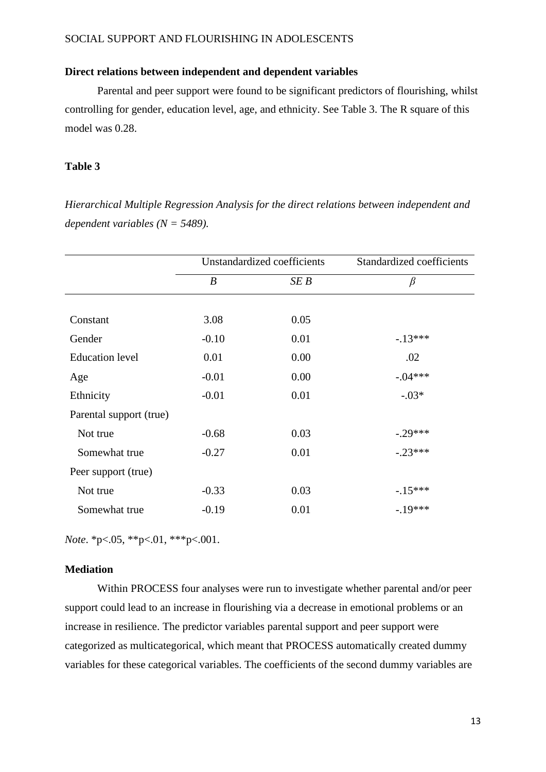# **Direct relations between independent and dependent variables**

Parental and peer support were found to be significant predictors of flourishing, whilst controlling for gender, education level, age, and ethnicity. See Table 3. The R square of this model was 0.28.

## **Table 3**

*Hierarchical Multiple Regression Analysis for the direct relations between independent and dependent variables (N = 5489).*

|                         |         | Unstandardized coefficients | Standardized coefficients |  |  |
|-------------------------|---------|-----------------------------|---------------------------|--|--|
|                         | B       | SE B                        | $\beta$                   |  |  |
|                         |         |                             |                           |  |  |
| Constant                | 3.08    | 0.05                        |                           |  |  |
| Gender                  | $-0.10$ | 0.01                        | $-13***$                  |  |  |
| <b>Education</b> level  | 0.01    | 0.00                        | .02                       |  |  |
| Age                     | $-0.01$ | 0.00                        | $-.04***$                 |  |  |
| Ethnicity               | $-0.01$ | 0.01                        | $-.03*$                   |  |  |
| Parental support (true) |         |                             |                           |  |  |
| Not true                | $-0.68$ | 0.03                        | $-29***$                  |  |  |
| Somewhat true           | $-0.27$ | 0.01                        | $-.23***$                 |  |  |
| Peer support (true)     |         |                             |                           |  |  |
| Not true                | $-0.33$ | 0.03                        | $-15***$                  |  |  |
| Somewhat true           | $-0.19$ | 0.01                        | $-19***$                  |  |  |

*Note*. \*p<.05, \*\*p<.01, \*\*\*p<.001.

### **Mediation**

Within PROCESS four analyses were run to investigate whether parental and/or peer support could lead to an increase in flourishing via a decrease in emotional problems or an increase in resilience. The predictor variables parental support and peer support were categorized as multicategorical, which meant that PROCESS automatically created dummy variables for these categorical variables. The coefficients of the second dummy variables are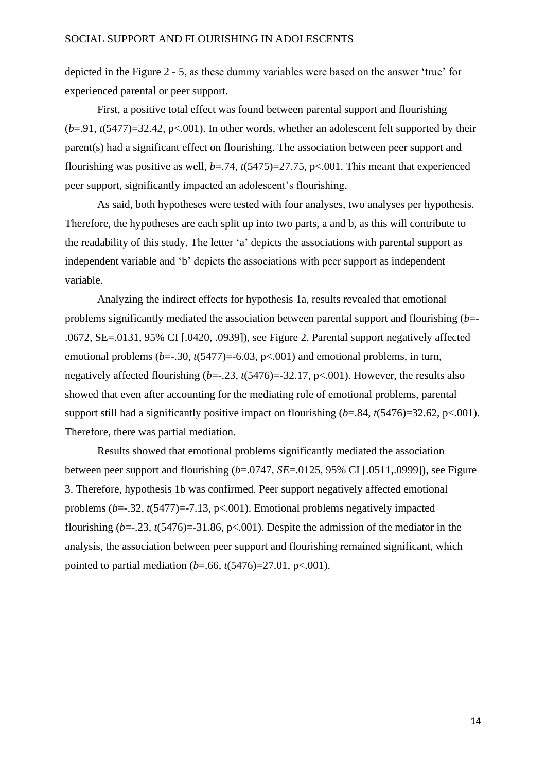depicted in the Figure 2 - 5, as these dummy variables were based on the answer 'true' for experienced parental or peer support.

First, a positive total effect was found between parental support and flourishing  $(b=0.91, t(5477)=32.42, p<0.001$ ). In other words, whether an adolescent felt supported by their parent(s) had a significant effect on flourishing. The association between peer support and flourishing was positive as well, *b*=.74, *t*(5475)=27.75, p<.001. This meant that experienced peer support, significantly impacted an adolescent's flourishing.

As said, both hypotheses were tested with four analyses, two analyses per hypothesis. Therefore, the hypotheses are each split up into two parts, a and b, as this will contribute to the readability of this study. The letter 'a' depicts the associations with parental support as independent variable and 'b' depicts the associations with peer support as independent variable.

Analyzing the indirect effects for hypothesis 1a, results revealed that emotional problems significantly mediated the association between parental support and flourishing (*b*=- .0672, SE=.0131, 95% CI [.0420, .0939]), see Figure 2. Parental support negatively affected emotional problems  $(b=-.30, t(5477))=-6.03, p<.001)$  and emotional problems, in turn, negatively affected flourishing (*b*=-.23, *t*(5476)=-32.17, p<.001). However, the results also showed that even after accounting for the mediating role of emotional problems, parental support still had a significantly positive impact on flourishing  $(b=.84, t(5476)=32.62, p<.001)$ . Therefore, there was partial mediation.

Results showed that emotional problems significantly mediated the association between peer support and flourishing (*b*=.0747, *SE*=.0125, 95% CI [.0511,.0999]), see Figure 3. Therefore, hypothesis 1b was confirmed. Peer support negatively affected emotional problems (*b*=-.32, *t*(5477)=-7.13, p<.001). Emotional problems negatively impacted flourishing  $(b=-.23, t(5476)=31.86, p<.001)$ . Despite the admission of the mediator in the analysis, the association between peer support and flourishing remained significant, which pointed to partial mediation (*b*=.66, *t*(5476)=27.01, p<.001).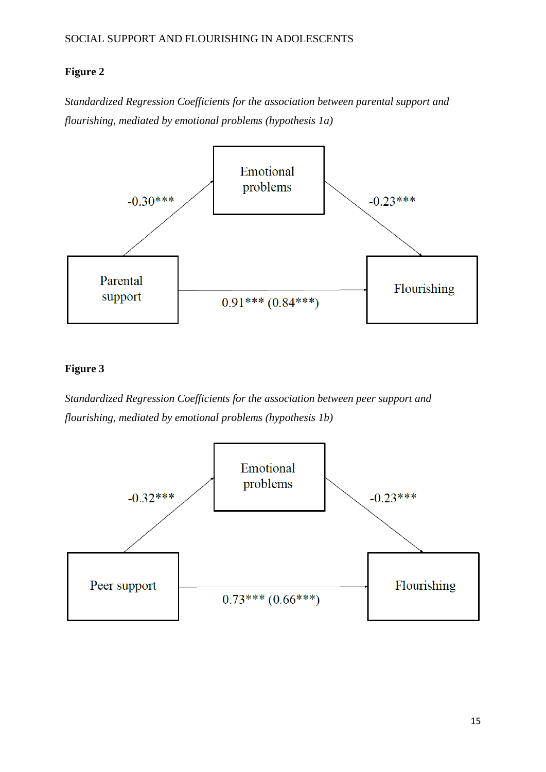# **Figure 2**

*Standardized Regression Coefficients for the association between parental support and flourishing, mediated by emotional problems (hypothesis 1a)*



# **Figure 3**

*Standardized Regression Coefficients for the association between peer support and flourishing, mediated by emotional problems (hypothesis 1b)*

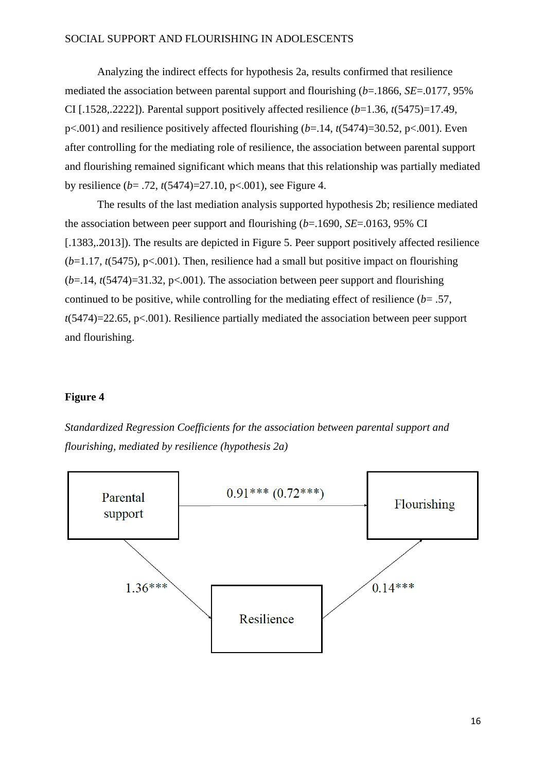Analyzing the indirect effects for hypothesis 2a, results confirmed that resilience mediated the association between parental support and flourishing (*b*=.1866, *SE*=.0177, 95% CI [.1528,.2222]). Parental support positively affected resilience (*b*=1.36, *t*(5475)=17.49, p<.001) and resilience positively affected flourishing (*b*=.14, *t*(5474)=30.52, p<.001). Even after controlling for the mediating role of resilience, the association between parental support and flourishing remained significant which means that this relationship was partially mediated by resilience (*b*= .72, *t*(5474)=27.10, p<.001), see Figure 4.

The results of the last mediation analysis supported hypothesis 2b; resilience mediated the association between peer support and flourishing (*b*=.1690, *SE*=.0163, 95% CI [.1383,.2013]). The results are depicted in Figure 5. Peer support positively affected resilience  $(b=1.17, t(5475), p<0.01)$ . Then, resilience had a small but positive impact on flourishing  $(b=14, t(5474)=31.32, p<0.001$ . The association between peer support and flourishing continued to be positive, while controlling for the mediating effect of resilience (*b*= .57, *t*(5474)=22.65, p<.001). Resilience partially mediated the association between peer support and flourishing.

# **Figure 4**



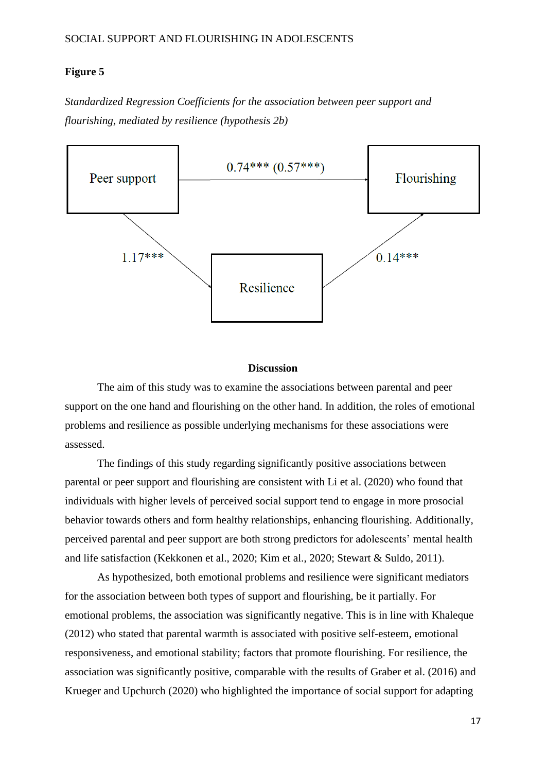# **Figure 5**

*Standardized Regression Coefficients for the association between peer support and flourishing, mediated by resilience (hypothesis 2b)*



### **Discussion**

The aim of this study was to examine the associations between parental and peer support on the one hand and flourishing on the other hand. In addition, the roles of emotional problems and resilience as possible underlying mechanisms for these associations were assessed.

The findings of this study regarding significantly positive associations between parental or peer support and flourishing are consistent with Li et al. (2020) who found that individuals with higher levels of perceived social support tend to engage in more prosocial behavior towards others and form healthy relationships, enhancing flourishing. Additionally, perceived parental and peer support are both strong predictors for adolescents' mental health and life satisfaction (Kekkonen et al., 2020; Kim et al., 2020; Stewart & Suldo, 2011).

As hypothesized, both emotional problems and resilience were significant mediators for the association between both types of support and flourishing, be it partially. For emotional problems, the association was significantly negative. This is in line with Khaleque (2012) who stated that parental warmth is associated with positive self-esteem, emotional responsiveness, and emotional stability; factors that promote flourishing. For resilience, the association was significantly positive, comparable with the results of Graber et al. (2016) and Krueger and Upchurch (2020) who highlighted the importance of social support for adapting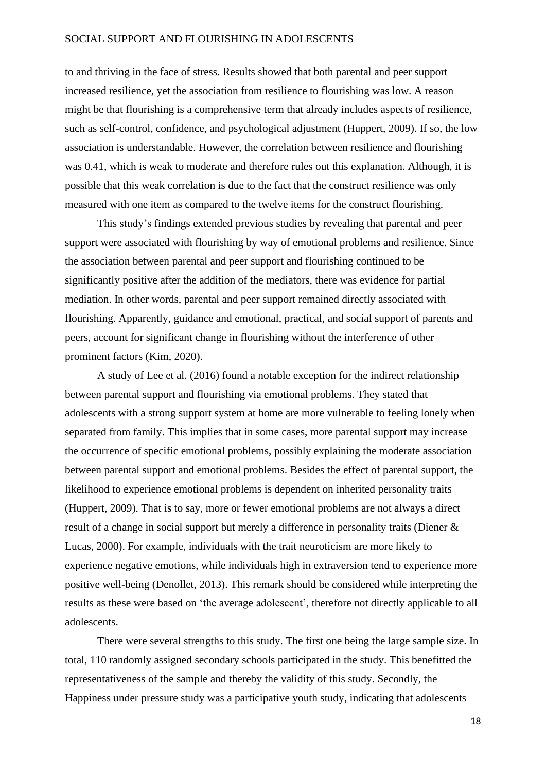to and thriving in the face of stress. Results showed that both parental and peer support increased resilience, yet the association from resilience to flourishing was low. A reason might be that flourishing is a comprehensive term that already includes aspects of resilience, such as self-control, confidence, and psychological adjustment (Huppert, 2009). If so, the low association is understandable. However, the correlation between resilience and flourishing was 0.41, which is weak to moderate and therefore rules out this explanation. Although, it is possible that this weak correlation is due to the fact that the construct resilience was only measured with one item as compared to the twelve items for the construct flourishing.

This study's findings extended previous studies by revealing that parental and peer support were associated with flourishing by way of emotional problems and resilience. Since the association between parental and peer support and flourishing continued to be significantly positive after the addition of the mediators, there was evidence for partial mediation. In other words, parental and peer support remained directly associated with flourishing. Apparently, guidance and emotional, practical, and social support of parents and peers, account for significant change in flourishing without the interference of other prominent factors (Kim, 2020).

A study of Lee et al. (2016) found a notable exception for the indirect relationship between parental support and flourishing via emotional problems. They stated that adolescents with a strong support system at home are more vulnerable to feeling lonely when separated from family. This implies that in some cases, more parental support may increase the occurrence of specific emotional problems, possibly explaining the moderate association between parental support and emotional problems. Besides the effect of parental support, the likelihood to experience emotional problems is dependent on inherited personality traits (Huppert, 2009). That is to say, more or fewer emotional problems are not always a direct result of a change in social support but merely a difference in personality traits (Diener & Lucas, 2000). For example, individuals with the trait neuroticism are more likely to experience negative emotions, while individuals high in extraversion tend to experience more positive well-being (Denollet, 2013). This remark should be considered while interpreting the results as these were based on 'the average adolescent', therefore not directly applicable to all adolescents.

There were several strengths to this study. The first one being the large sample size. In total, 110 randomly assigned secondary schools participated in the study. This benefitted the representativeness of the sample and thereby the validity of this study. Secondly, the Happiness under pressure study was a participative youth study, indicating that adolescents

18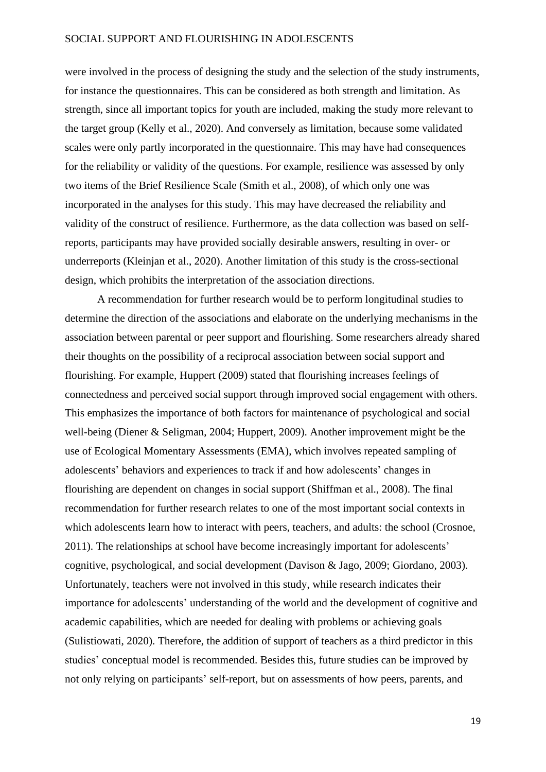were involved in the process of designing the study and the selection of the study instruments, for instance the questionnaires. This can be considered as both strength and limitation. As strength, since all important topics for youth are included, making the study more relevant to the target group (Kelly et al., 2020). And conversely as limitation, because some validated scales were only partly incorporated in the questionnaire. This may have had consequences for the reliability or validity of the questions. For example, resilience was assessed by only two items of the Brief Resilience Scale (Smith et al., 2008), of which only one was incorporated in the analyses for this study. This may have decreased the reliability and validity of the construct of resilience. Furthermore, as the data collection was based on selfreports, participants may have provided socially desirable answers, resulting in over- or underreports (Kleinjan et al., 2020). Another limitation of this study is the cross-sectional design, which prohibits the interpretation of the association directions.

A recommendation for further research would be to perform longitudinal studies to determine the direction of the associations and elaborate on the underlying mechanisms in the association between parental or peer support and flourishing. Some researchers already shared their thoughts on the possibility of a reciprocal association between social support and flourishing. For example, Huppert (2009) stated that flourishing increases feelings of connectedness and perceived social support through improved social engagement with others. This emphasizes the importance of both factors for maintenance of psychological and social well-being (Diener & Seligman, 2004; Huppert, 2009). Another improvement might be the use of Ecological Momentary Assessments (EMA), which involves repeated sampling of adolescents' behaviors and experiences to track if and how adolescents' changes in flourishing are dependent on changes in social support (Shiffman et al., 2008). The final recommendation for further research relates to one of the most important social contexts in which adolescents learn how to interact with peers, teachers, and adults: the school (Crosnoe, 2011). The relationships at school have become increasingly important for adolescents' cognitive, psychological, and social development (Davison & Jago, 2009; Giordano, 2003). Unfortunately, teachers were not involved in this study, while research indicates their importance for adolescents' understanding of the world and the development of cognitive and academic capabilities, which are needed for dealing with problems or achieving goals (Sulistiowati, 2020). Therefore, the addition of support of teachers as a third predictor in this studies' conceptual model is recommended. Besides this, future studies can be improved by not only relying on participants' self-report, but on assessments of how peers, parents, and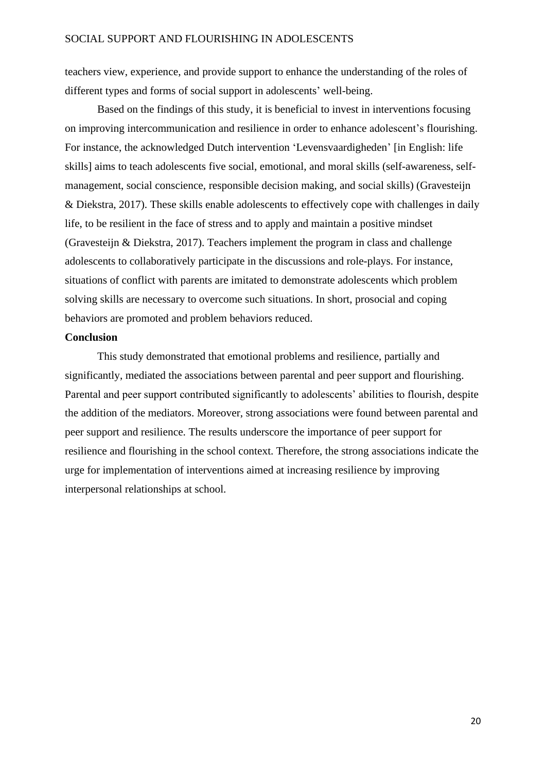teachers view, experience, and provide support to enhance the understanding of the roles of different types and forms of social support in adolescents' well-being.

Based on the findings of this study, it is beneficial to invest in interventions focusing on improving intercommunication and resilience in order to enhance adolescent's flourishing. For instance, the acknowledged Dutch intervention 'Levensvaardigheden' [in English: life skills] aims to teach adolescents five social, emotional, and moral skills (self-awareness, selfmanagement, social conscience, responsible decision making, and social skills) (Gravesteijn & Diekstra, 2017). These skills enable adolescents to effectively cope with challenges in daily life, to be resilient in the face of stress and to apply and maintain a positive mindset (Gravesteijn & Diekstra, 2017). Teachers implement the program in class and challenge adolescents to collaboratively participate in the discussions and role-plays. For instance, situations of conflict with parents are imitated to demonstrate adolescents which problem solving skills are necessary to overcome such situations. In short, prosocial and coping behaviors are promoted and problem behaviors reduced.

# **Conclusion**

This study demonstrated that emotional problems and resilience, partially and significantly, mediated the associations between parental and peer support and flourishing. Parental and peer support contributed significantly to adolescents' abilities to flourish, despite the addition of the mediators. Moreover, strong associations were found between parental and peer support and resilience. The results underscore the importance of peer support for resilience and flourishing in the school context. Therefore, the strong associations indicate the urge for implementation of interventions aimed at increasing resilience by improving interpersonal relationships at school.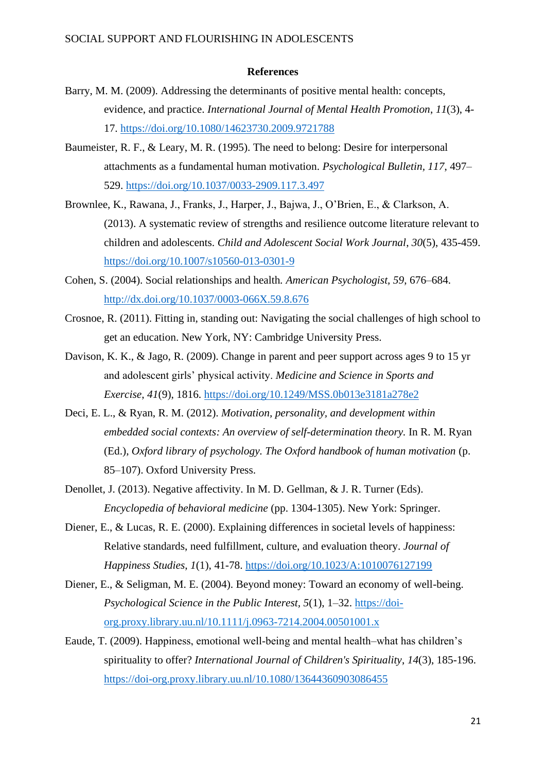### **References**

- Barry, M. M. (2009). Addressing the determinants of positive mental health: concepts, evidence, and practice. *International Journal of Mental Health Promotion*, *11*(3), 4- 17.<https://doi.org/10.1080/14623730.2009.9721788>
- Baumeister, R. F., & Leary, M. R. (1995). The need to belong: Desire for interpersonal attachments as a fundamental human motivation. *Psychological Bulletin, 117*, 497– 529. <https://doi.org/10.1037/0033-2909.117.3.497>
- Brownlee, K., Rawana, J., Franks, J., Harper, J., Bajwa, J., O'Brien, E., & Clarkson, A. (2013). A systematic review of strengths and resilience outcome literature relevant to children and adolescents. *Child and Adolescent Social Work Journal*, *30*(5), 435-459. <https://doi.org/10.1007/s10560-013-0301-9>
- Cohen, S. (2004). Social relationships and health*. American Psychologist, 59*, 676–684. <http://dx.doi.org/10.1037/0003-066X.59.8.676>
- Crosnoe, R. (2011). Fitting in, standing out: Navigating the social challenges of high school to get an education. New York, NY: Cambridge University Press.
- Davison, K. K., & Jago, R. (2009). Change in parent and peer support across ages 9 to 15 yr and adolescent girls' physical activity. *Medicine and Science in Sports and Exercise*, *41*(9), 1816.<https://doi.org/10.1249/MSS.0b013e3181a278e2>
- Deci, E. L., & Ryan, R. M. (2012). *Motivation, personality, and development within embedded social contexts: An overview of self-determination theory.* In R. M. Ryan (Ed.), *Oxford library of psychology. The Oxford handbook of human motivation* (p. 85–107). Oxford University Press.
- Denollet, J. (2013). Negative affectivity. In M. D. Gellman, & J. R. Turner (Eds). *Encyclopedia of behavioral medicine* (pp. 1304-1305). New York: Springer.
- Diener, E., & Lucas, R. E. (2000). Explaining differences in societal levels of happiness: Relative standards, need fulfillment, culture, and evaluation theory. *Journal of Happiness Studies*, *1*(1), 41-78. <https://doi.org/10.1023/A:1010076127199>
- Diener, E., & Seligman, M. E. (2004). Beyond money: Toward an economy of well-being. *Psychological Science in the Public Interest, 5*(1), 1–32. [https://doi](https://doi-org.proxy.library.uu.nl/10.1111%2Fj.0963-7214.2004.00501001.x)[org.proxy.library.uu.nl/10.1111/j.0963-7214.2004.00501001.x](https://doi-org.proxy.library.uu.nl/10.1111%2Fj.0963-7214.2004.00501001.x)
- Eaude, T. (2009). Happiness, emotional well‐being and mental health–what has children's spirituality to offer? *International Journal of Children's Spirituality*, *14*(3), 185-196. <https://doi-org.proxy.library.uu.nl/10.1080/13644360903086455>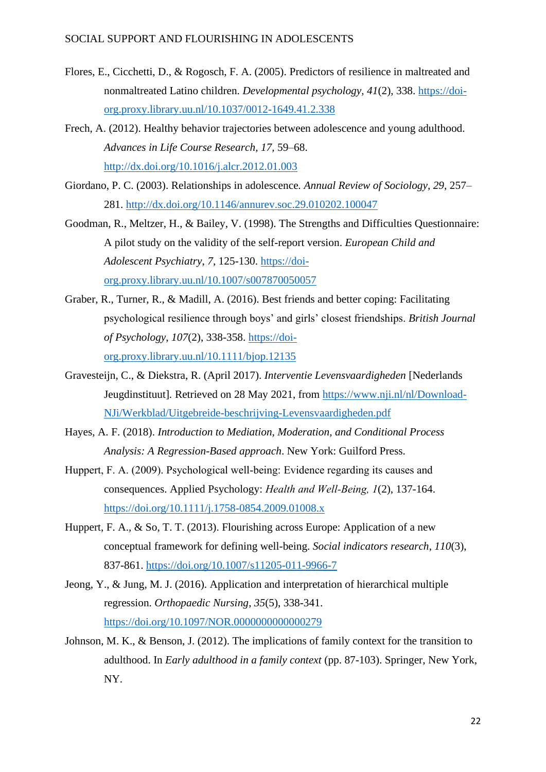- Flores, E., Cicchetti, D., & Rogosch, F. A. (2005). Predictors of resilience in maltreated and nonmaltreated Latino children. *Developmental psychology*, *41*(2), 338. [https://doi](https://psycnet-apa-org.proxy.library.uu.nl/doi/10.1037/0012-1649.41.2.338)[org.proxy.library.uu.nl/10.1037/0012-1649.41.2.338](https://psycnet-apa-org.proxy.library.uu.nl/doi/10.1037/0012-1649.41.2.338)
- Frech, A. (2012). Healthy behavior trajectories between adolescence and young adulthood. *Advances in Life Course Research, 17,* 59–68. <http://dx.doi.org/10.1016/j.alcr.2012.01.003>
- Giordano, P. C. (2003). Relationships in adolescence*. Annual Review of Sociology, 29,* 257– 281.<http://dx.doi.org/10.1146/annurev.soc.29.010202.100047>
- Goodman, R., Meltzer, H., & Bailey, V. (1998). The Strengths and Difficulties Questionnaire: A pilot study on the validity of the self-report version. *European Child and Adolescent Psychiatry*, *7*, 125-130. [https://doi](https://doi-org.proxy.library.uu.nl/10.1007/s007870050057)[org.proxy.library.uu.nl/10.1007/s007870050057](https://doi-org.proxy.library.uu.nl/10.1007/s007870050057)
- Graber, R., Turner, R., & Madill, A. (2016). Best friends and better coping: Facilitating psychological resilience through boys' and girls' closest friendships. *British Journal of Psychology*, *107*(2), 338-358. [https://doi](https://doi-org.proxy.library.uu.nl/10.1111/bjop.12135)[org.proxy.library.uu.nl/10.1111/bjop.12135](https://doi-org.proxy.library.uu.nl/10.1111/bjop.12135)
- Gravesteijn, C., & Diekstra, R. (April 2017). *Interventie Levensvaardigheden* [Nederlands Jeugdinstituut]*.* Retrieved on 28 May 2021, from [https://www.nji.nl/nl/Download-](https://www.nji.nl/nl/Download-NJi/Werkblad/Uitgebreide-beschrijving-Levensvaardigheden.pdf)[NJi/Werkblad/Uitgebreide-beschrijving-Levensvaardigheden.pdf](https://www.nji.nl/nl/Download-NJi/Werkblad/Uitgebreide-beschrijving-Levensvaardigheden.pdf)
- Hayes, A. F. (2018). *Introduction to Mediation, Moderation, and Conditional Process Analysis: A Regression-Based approach*. New York: Guilford Press.
- Huppert, F. A. (2009). Psychological well-being: Evidence regarding its causes and consequences. Applied Psychology: *Health and Well‐Being, 1*(2), 137-164. <https://doi.org/10.1111/j.1758-0854.2009.01008.x>
- Huppert, F. A., & So, T. T. (2013). Flourishing across Europe: Application of a new conceptual framework for defining well-being. *Social indicators research*, *110*(3), 837-861. <https://doi.org/10.1007/s11205-011-9966-7>
- Jeong, Y., & Jung, M. J. (2016). Application and interpretation of hierarchical multiple regression. *Orthopaedic Nursing*, *35*(5), 338-341. <https://doi.org/10.1097/NOR.0000000000000279>
- Johnson, M. K., & Benson, J. (2012). The implications of family context for the transition to adulthood. In *Early adulthood in a family context* (pp. 87-103). Springer, New York, NY.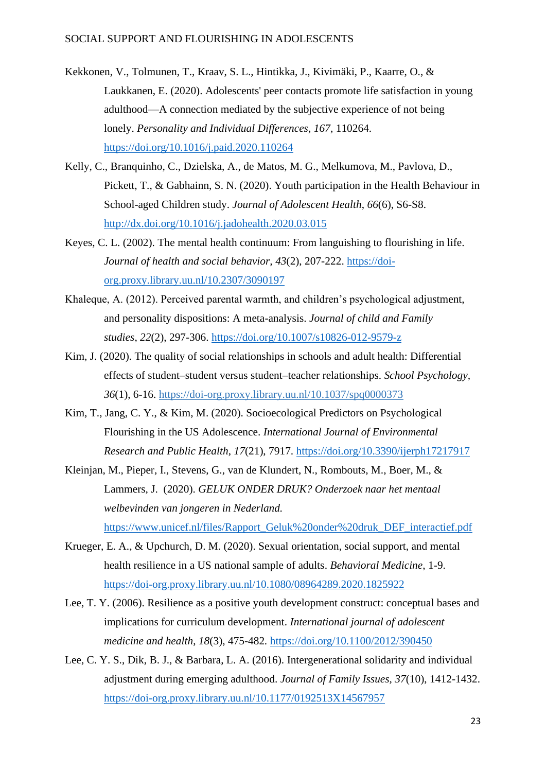- Kekkonen, V., Tolmunen, T., Kraav, S. L., Hintikka, J., Kivimäki, P., Kaarre, O., & Laukkanen, E. (2020). Adolescents' peer contacts promote life satisfaction in young adulthood—A connection mediated by the subjective experience of not being lonely. *Personality and Individual Differences*, *167*, 110264. <https://doi.org/10.1016/j.paid.2020.110264>
- Kelly, C., Branquinho, C., Dzielska, A., de Matos, M. G., Melkumova, M., Pavlova, D., Pickett, T., & Gabhainn, S. N. (2020). Youth participation in the Health Behaviour in School-aged Children study. *Journal of Adolescent Health*, *66*(6), S6-S8. <http://dx.doi.org/10.1016/j.jadohealth.2020.03.015>
- Keyes, C. L. (2002). The mental health continuum: From languishing to flourishing in life. *Journal of health and social behavior, 43*(2), 207-222. [https://doi](https://doi-org.proxy.library.uu.nl/10.2307/3090197)[org.proxy.library.uu.nl/10.2307/3090197](https://doi-org.proxy.library.uu.nl/10.2307/3090197)
- Khaleque, A. (2012). Perceived parental warmth, and children's psychological adjustment, and personality dispositions: A meta-analysis. *Journal of child and Family studies*, *22*(2), 297-306. <https://doi.org/10.1007/s10826-012-9579-z>
- Kim, J. (2020). The quality of social relationships in schools and adult health: Differential effects of student–student versus student–teacher relationships. *School Psychology, 36*(1), 6-16. [https://doi-org.proxy.library.uu.nl/10.1037/spq0000373](https://psycnet-apa-org.proxy.library.uu.nl/doi/10.1037/spq0000373)
- Kim, T., Jang, C. Y., & Kim, M. (2020). Socioecological Predictors on Psychological Flourishing in the US Adolescence. *International Journal of Environmental Research and Public Health*, *17*(21), 7917. <https://doi.org/10.3390/ijerph17217917>
- Kleinjan, M., Pieper, I., Stevens, G., van de Klundert, N., Rombouts, M., Boer, M., & Lammers, J. (2020). *GELUK ONDER DRUK? Onderzoek naar het mentaal welbevinden van jongeren in Nederland.*  [https://www.unicef.nl/files/Rapport\\_Geluk%20onder%20druk\\_DEF\\_interactief.pdf](https://www.unicef.nl/files/Rapport_Geluk%20onder%20druk_DEF_interactief.pdf)
- Krueger, E. A., & Upchurch, D. M. (2020). Sexual orientation, social support, and mental health resilience in a US national sample of adults. *Behavioral Medicine*, 1-9. <https://doi-org.proxy.library.uu.nl/10.1080/08964289.2020.1825922>
- Lee, T. Y. (2006). Resilience as a positive youth development construct: conceptual bases and implications for curriculum development. *International journal of adolescent medicine and health*, *18*(3), 475-482*.* <https://doi.org/10.1100/2012/390450>
- Lee, C. Y. S., Dik, B. J., & Barbara, L. A. (2016). Intergenerational solidarity and individual adjustment during emerging adulthood. *Journal of Family Issues, 37*(10), 1412-1432. [https://doi-org.proxy.library.uu.nl/10.1177/0192513X14567957](https://doi-org.proxy.library.uu.nl/10.1177%2F0192513X14567957)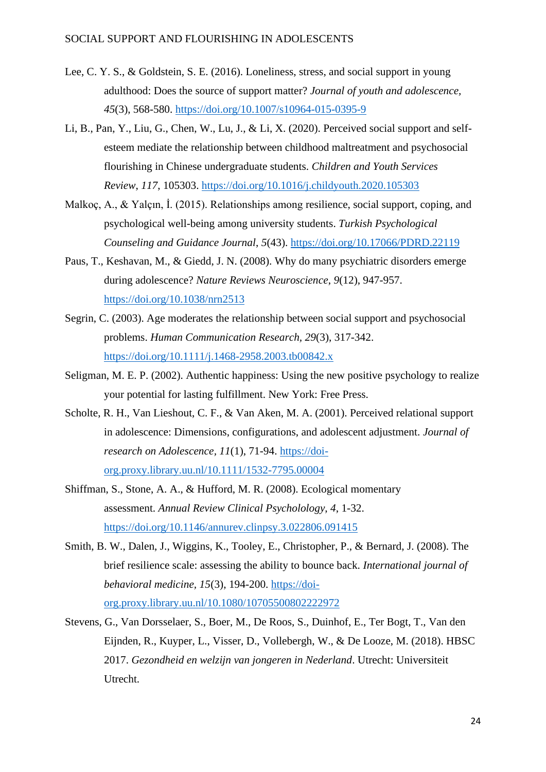- Lee, C. Y. S., & Goldstein, S. E. (2016). Loneliness, stress, and social support in young adulthood: Does the source of support matter? *Journal of youth and adolescence, 45*(3), 568-580. <https://doi.org/10.1007/s10964-015-0395-9>
- Li, B., Pan, Y., Liu, G., Chen, W., Lu, J., & Li, X. (2020). Perceived social support and selfesteem mediate the relationship between childhood maltreatment and psychosocial flourishing in Chinese undergraduate students. *Children and Youth Services Review*, *117*, 105303. [https://doi.org/10.1016/j.childyouth.2020.105303](https://doi-org.proxy.library.uu.nl/10.1016/j.childyouth.2020.105303)
- Malkoç, A., & Yalçın, İ. (2015). Relationships among resilience, social support, coping, and psychological well-being among university students. *Turkish Psychological Counseling and Guidance Journal*, *5*(43). <https://doi.org/10.17066/PDRD.22119>
- Paus, T., Keshavan, M., & Giedd, J. N. (2008). Why do many psychiatric disorders emerge during adolescence? *Nature Reviews Neuroscience*, *9*(12), 947-957. <https://doi.org/10.1038/nrn2513>
- Segrin, C. (2003). Age moderates the relationship between social support and psychosocial problems. *Human Communication Research, 29*(3), 317-342. <https://doi.org/10.1111/j.1468-2958.2003.tb00842.x>
- Seligman, M. E. P. (2002). Authentic happiness: Using the new positive psychology to realize your potential for lasting fulfillment. New York: Free Press.
- Scholte, R. H., Van Lieshout, C. F., & Van Aken, M. A. (2001). Perceived relational support in adolescence: Dimensions, configurations, and adolescent adjustment. *Journal of research on Adolescence, 11*(1), 71-94. [https://doi](https://doi-org.proxy.library.uu.nl/10.1111/1532-7795.00004)[org.proxy.library.uu.nl/10.1111/1532-7795.00004](https://doi-org.proxy.library.uu.nl/10.1111/1532-7795.00004)
- Shiffman, S., Stone, A. A., & Hufford, M. R. (2008). Ecological momentary assessment. *Annual Review Clinical Psycholology*, *4*, 1-32. <https://doi.org/10.1146/annurev.clinpsy.3.022806.091415>
- Smith, B. W., Dalen, J., Wiggins, K., Tooley, E., Christopher, P., & Bernard, J. (2008). The brief resilience scale: assessing the ability to bounce back. *International journal of behavioral medicine, 15*(3), 194-200. [https://doi](https://doi-org.proxy.library.uu.nl/10.1080/10705500802222972)[org.proxy.library.uu.nl/10.1080/10705500802222972](https://doi-org.proxy.library.uu.nl/10.1080/10705500802222972)
- Stevens, G., Van Dorsselaer, S., Boer, M., De Roos, S., Duinhof, E., Ter Bogt, T., Van den Eijnden, R., Kuyper, L., Visser, D., Vollebergh, W., & De Looze, M. (2018). HBSC 2017. *Gezondheid en welzijn van jongeren in Nederland*. Utrecht: Universiteit Utrecht.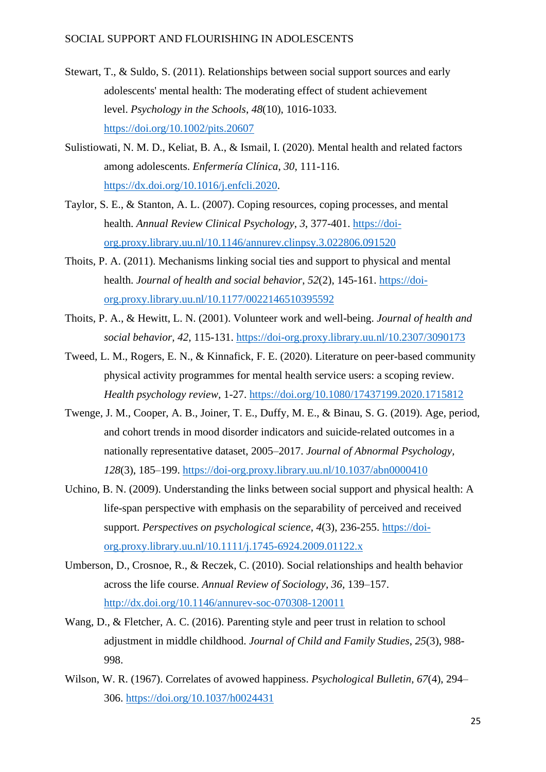- Stewart, T., & Suldo, S. (2011). Relationships between social support sources and early adolescents' mental health: The moderating effect of student achievement level. *Psychology in the Schools*, *48*(10), 1016-1033. <https://doi.org/10.1002/pits.20607>
- Sulistiowati, N. M. D., Keliat, B. A., & Ismail, I. (2020). Mental health and related factors among adolescents. *Enfermería Clínica*, *30*, 111-116. [https://dx.doi.org/10.1016/j.enfcli.2020.](https://dx.doi.org/10.1016/j.enfcli.2020)
- Taylor, S. E., & Stanton, A. L. (2007). Coping resources, coping processes, and mental health. *Annual Review Clinical Psychology*, *3*, 377-401. [https://doi](https://doi-org.proxy.library.uu.nl/10.1146/annurev.clinpsy.3.022806.091520)[org.proxy.library.uu.nl/10.1146/annurev.clinpsy.3.022806.091520](https://doi-org.proxy.library.uu.nl/10.1146/annurev.clinpsy.3.022806.091520)
- Thoits, P. A. (2011). Mechanisms linking social ties and support to physical and mental health. *Journal of health and social behavior*, *52*(2), 145-161. [https://doi](https://doi-org.proxy.library.uu.nl/10.1177%2F0022146510395592)[org.proxy.library.uu.nl/10.1177/0022146510395592](https://doi-org.proxy.library.uu.nl/10.1177%2F0022146510395592)
- Thoits, P. A., & Hewitt, L. N. (2001). Volunteer work and well-being. *Journal of health and social behavior, 42,* 115-131. <https://doi-org.proxy.library.uu.nl/10.2307/3090173>
- Tweed, L. M., Rogers, E. N., & Kinnafick, F. E. (2020). Literature on peer-based community physical activity programmes for mental health service users: a scoping review*. Health psychology review,* 1-27. <https://doi.org/10.1080/17437199.2020.1715812>
- Twenge, J. M., Cooper, A. B., Joiner, T. E., Duffy, M. E., & Binau, S. G. (2019). Age, period, and cohort trends in mood disorder indicators and suicide-related outcomes in a nationally representative dataset, 2005–2017. *Journal of Abnormal Psychology, 128*(3), 185–199. [https://doi-org.proxy.library.uu.nl/10.1037/abn0000410](https://psycnet-apa-org.proxy.library.uu.nl/doi/10.1037/abn0000410)
- Uchino, B. N. (2009). Understanding the links between social support and physical health: A life-span perspective with emphasis on the separability of perceived and received support. *Perspectives on psychological science*, *4*(3), 236-255. [https://doi](https://doi-org.proxy.library.uu.nl/10.1111%2Fj.1745-6924.2009.01122.x)[org.proxy.library.uu.nl/10.1111/j.1745-6924.2009.01122.x](https://doi-org.proxy.library.uu.nl/10.1111%2Fj.1745-6924.2009.01122.x)
- Umberson, D., Crosnoe, R., & Reczek, C. (2010). Social relationships and health behavior across the life course. *Annual Review of Sociology, 36,* 139–157. <http://dx.doi.org/10.1146/annurev-soc-070308-120011>
- Wang, D., & Fletcher, A. C. (2016). Parenting style and peer trust in relation to school adjustment in middle childhood. *Journal of Child and Family Studies*, *25*(3), 988- 998.
- Wilson, W. R. (1967). Correlates of avowed happiness. *Psychological Bulletin, 67*(4), 294– 306.<https://doi.org/10.1037/h0024431>